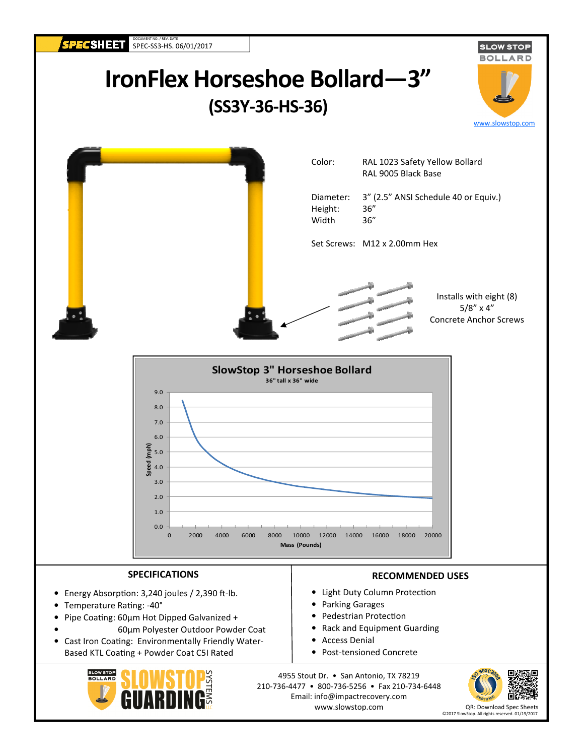